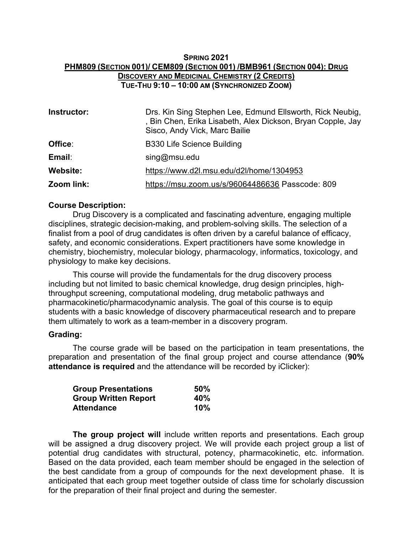# **SPRING 2021 PHM809 (SECTION 001)/ CEM809 (SECTION 001) /BMB961 (SECTION 004): DRUG DISCOVERY AND MEDICINAL CHEMISTRY (2 CREDITS) TUE-THU 9:10 – 10:00 AM (SYNCHRONIZED ZOOM)**

| Instructor:     | Drs. Kin Sing Stephen Lee, Edmund Ellsworth, Rick Neubig,<br>, Bin Chen, Erika Lisabeth, Alex Dickson, Bryan Copple, Jay<br>Sisco, Andy Vick, Marc Bailie |
|-----------------|-----------------------------------------------------------------------------------------------------------------------------------------------------------|
| Office:         | <b>B330 Life Science Building</b>                                                                                                                         |
| Email:          | sing@msu.edu                                                                                                                                              |
| <b>Website:</b> | https://www.d2l.msu.edu/d2l/home/1304953                                                                                                                  |
| Zoom link:      | https://msu.zoom.us/s/96064486636 Passcode: 809                                                                                                           |

### **Course Description:**

Drug Discovery is a complicated and fascinating adventure, engaging multiple disciplines, strategic decision-making, and problem-solving skills. The selection of a finalist from a pool of drug candidates is often driven by a careful balance of efficacy, safety, and economic considerations. Expert practitioners have some knowledge in chemistry, biochemistry, molecular biology, pharmacology, informatics, toxicology, and physiology to make key decisions.

This course will provide the fundamentals for the drug discovery process including but not limited to basic chemical knowledge, drug design principles, highthroughput screening, computational modeling, drug metabolic pathways and pharmacokinetic/pharmacodynamic analysis. The goal of this course is to equip students with a basic knowledge of discovery pharmaceutical research and to prepare them ultimately to work as a team-member in a discovery program.

#### **Grading:**

The course grade will be based on the participation in team presentations, the preparation and presentation of the final group project and course attendance (**90% attendance is required** and the attendance will be recorded by iClicker):

| <b>Group Presentations</b>  | 50% |
|-----------------------------|-----|
| <b>Group Written Report</b> | 40% |
| Attendance                  | 10% |

**The group project will** include written reports and presentations. Each group will be assigned a drug discovery project. We will provide each project group a list of potential drug candidates with structural, potency, pharmacokinetic, etc. information. Based on the data provided, each team member should be engaged in the selection of the best candidate from a group of compounds for the next development phase. It is anticipated that each group meet together outside of class time for scholarly discussion for the preparation of their final project and during the semester.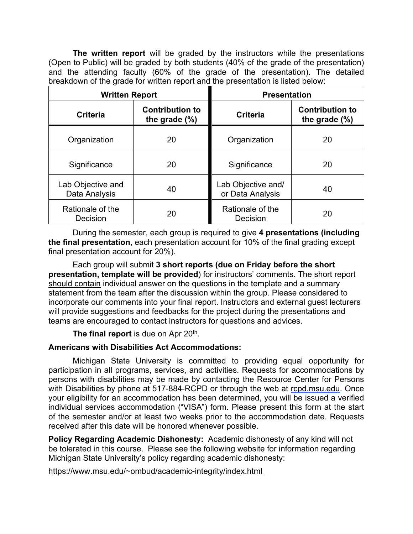**The written report** will be graded by the instructors while the presentations (Open to Public) will be graded by both students (40% of the grade of the presentation) and the attending faculty (60% of the grade of the presentation). The detailed breakdown of the grade for written report and the presentation is listed below:

| <b>Written Report</b>              |                                            | <b>Presentation</b>                    |                                            |
|------------------------------------|--------------------------------------------|----------------------------------------|--------------------------------------------|
| <b>Criteria</b>                    | <b>Contribution to</b><br>the grade $(\%)$ | <b>Criteria</b>                        | <b>Contribution to</b><br>the grade $(\%)$ |
| Organization                       | 20                                         | Organization                           | 20                                         |
| Significance                       | 20                                         | Significance                           | 20                                         |
| Lab Objective and<br>Data Analysis | 40                                         | Lab Objective and/<br>or Data Analysis | 40                                         |
| Rationale of the<br>Decision       | 20                                         | Rationale of the<br>Decision           | 20                                         |

During the semester, each group is required to give **4 presentations (including the final presentation**, each presentation account for 10% of the final grading except final presentation account for 20%).

Each group will submit **3 short reports (due on Friday before the short presentation, template will be provided**) for instructors' comments. The short report should contain individual answer on the questions in the template and a summary statement from the team after the discussion within the group. Please considered to incorporate our comments into your final report. Instructors and external guest lecturers will provide suggestions and feedbacks for the project during the presentations and teams are encouraged to contact instructors for questions and advices.

**The final report** is due on Apr 20<sup>th</sup>.

# **Americans with Disabilities Act Accommodations:**

Michigan State University is committed to providing equal opportunity for participation in all programs, services, and activities. Requests for accommodations by persons with disabilities may be made by contacting the Resource Center for Persons with Disabilities by phone at 517-884-RCPD or through the web at rcpd.msu.edu. Once your eligibility for an accommodation has been determined, you will be issued a verified individual services accommodation ("VISA") form. Please present this form at the start of the semester and/or at least two weeks prior to the accommodation date. Requests received after this date will be honored whenever possible.

**Policy Regarding Academic Dishonesty:** Academic dishonesty of any kind will not be tolerated in this course. Please see the following website for information regarding Michigan State University's policy regarding academic dishonesty:

## https://www.msu.edu/~ombud/academic-integrity/index.html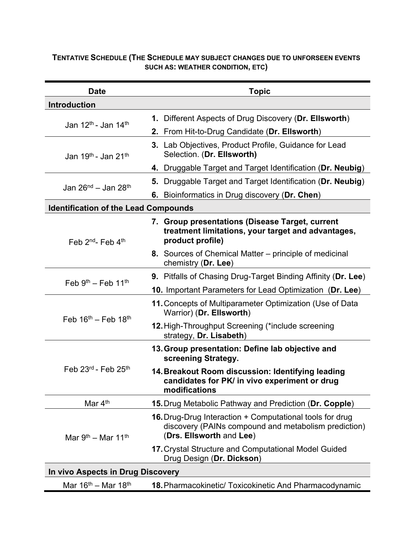### **TENTATIVE SCHEDULE (THE SCHEDULE MAY SUBJECT CHANGES DUE TO UNFORSEEN EVENTS SUCH AS: WEATHER CONDITION, ETC)**

| <b>Date</b>                                 | <b>Topic</b>                                                                                                                                 |  |  |
|---------------------------------------------|----------------------------------------------------------------------------------------------------------------------------------------------|--|--|
| <b>Introduction</b>                         |                                                                                                                                              |  |  |
|                                             | 1. Different Aspects of Drug Discovery (Dr. Ellsworth)                                                                                       |  |  |
| Jan 12 <sup>th</sup> - Jan 14 <sup>th</sup> | 2. From Hit-to-Drug Candidate (Dr. Ellsworth)                                                                                                |  |  |
| Jan 19th - Jan 21th                         | 3. Lab Objectives, Product Profile, Guidance for Lead<br>Selection. (Dr. Ellsworth)                                                          |  |  |
|                                             | 4. Druggable Target and Target Identification (Dr. Neubig)                                                                                   |  |  |
| Jan 26 <sup>nd</sup> – Jan 28 <sup>th</sup> | 5. Druggable Target and Target Identification (Dr. Neubig)                                                                                   |  |  |
|                                             | 6. Bioinformatics in Drug discovery (Dr. Chen)                                                                                               |  |  |
| <b>Identification of the Lead Compounds</b> |                                                                                                                                              |  |  |
| Feb 2 <sup>nd</sup> - Feb 4 <sup>th</sup>   | 7. Group presentations (Disease Target, current<br>treatment limitations, your target and advantages,<br>product profile)                    |  |  |
|                                             | 8. Sources of Chemical Matter – principle of medicinal<br>chemistry (Dr. Lee)                                                                |  |  |
| Feb $9th$ – Feb 11 <sup>th</sup>            | 9. Pitfalls of Chasing Drug-Target Binding Affinity (Dr. Lee)                                                                                |  |  |
|                                             | 10. Important Parameters for Lead Optimization (Dr. Lee)                                                                                     |  |  |
| Feb $16^{th}$ – Feb $18^{th}$               | 11. Concepts of Multiparameter Optimization (Use of Data<br>Warrior) (Dr. Ellsworth)                                                         |  |  |
|                                             | 12. High-Throughput Screening (*include screening<br>strategy, Dr. Lisabeth)                                                                 |  |  |
|                                             | 13. Group presentation: Define lab objective and<br>screening Strategy.                                                                      |  |  |
| Feb $23^{\text{rd}}$ - Feb $25^{\text{th}}$ | 14. Breakout Room discussion: Identifying leading<br>candidates for PK/ in vivo experiment or drug<br>modifications                          |  |  |
| Mar 4 <sup>th</sup>                         | 15. Drug Metabolic Pathway and Prediction (Dr. Copple)                                                                                       |  |  |
| Mar $9th$ – Mar 11 <sup>th</sup>            | 16. Drug-Drug Interaction + Computational tools for drug<br>discovery (PAINs compound and metabolism prediction)<br>(Drs. Ellsworth and Lee) |  |  |
|                                             | 17. Crystal Structure and Computational Model Guided<br>Drug Design (Dr. Dickson)                                                            |  |  |
| In vivo Aspects in Drug Discovery           |                                                                                                                                              |  |  |
| Mar $16^{\text{th}}$ – Mar $18^{\text{th}}$ | 18. Pharmacokinetic/ Toxicokinetic And Pharmacodynamic                                                                                       |  |  |